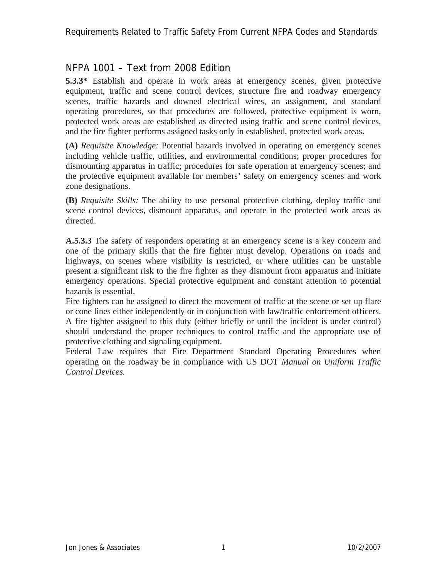# NFPA 1001 – Text from 2008 Edition

**5.3.3\*** Establish and operate in work areas at emergency scenes, given protective equipment, traffic and scene control devices, structure fire and roadway emergency scenes, traffic hazards and downed electrical wires, an assignment, and standard operating procedures, so that procedures are followed, protective equipment is worn, protected work areas are established as directed using traffic and scene control devices, and the fire fighter performs assigned tasks only in established, protected work areas.

**(A)** *Requisite Knowledge:* Potential hazards involved in operating on emergency scenes including vehicle traffic, utilities, and environmental conditions; proper procedures for dismounting apparatus in traffic; procedures for safe operation at emergency scenes; and the protective equipment available for members' safety on emergency scenes and work zone designations.

**(B)** *Requisite Skills:* The ability to use personal protective clothing, deploy traffic and scene control devices, dismount apparatus, and operate in the protected work areas as directed.

**A.5.3.3** The safety of responders operating at an emergency scene is a key concern and one of the primary skills that the fire fighter must develop. Operations on roads and highways, on scenes where visibility is restricted, or where utilities can be unstable present a significant risk to the fire fighter as they dismount from apparatus and initiate emergency operations. Special protective equipment and constant attention to potential hazards is essential.

Fire fighters can be assigned to direct the movement of traffic at the scene or set up flare or cone lines either independently or in conjunction with law/traffic enforcement officers. A fire fighter assigned to this duty (either briefly or until the incident is under control) should understand the proper techniques to control traffic and the appropriate use of protective clothing and signaling equipment.

Federal Law requires that Fire Department Standard Operating Procedures when operating on the roadway be in compliance with US DOT *Manual on Uniform Traffic Control Devices.*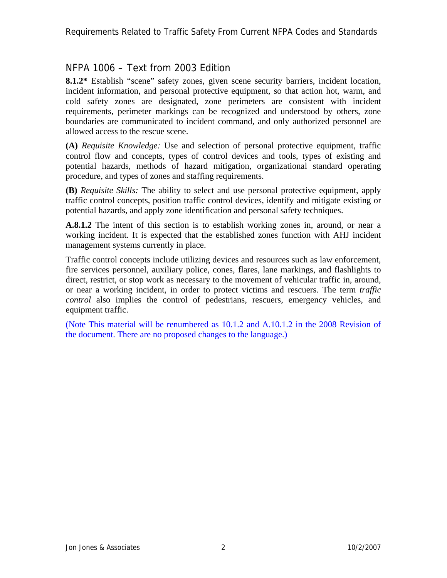# NFPA 1006 – Text from 2003 Edition

**8.1.2\*** Establish "scene" safety zones, given scene security barriers, incident location, incident information, and personal protective equipment, so that action hot, warm, and cold safety zones are designated, zone perimeters are consistent with incident requirements, perimeter markings can be recognized and understood by others, zone boundaries are communicated to incident command, and only authorized personnel are allowed access to the rescue scene.

**(A)** *Requisite Knowledge:* Use and selection of personal protective equipment, traffic control flow and concepts, types of control devices and tools, types of existing and potential hazards, methods of hazard mitigation, organizational standard operating procedure, and types of zones and staffing requirements.

**(B)** *Requisite Skills:* The ability to select and use personal protective equipment, apply traffic control concepts, position traffic control devices, identify and mitigate existing or potential hazards, and apply zone identification and personal safety techniques.

**A.8.1.2** The intent of this section is to establish working zones in, around, or near a working incident. It is expected that the established zones function with AHJ incident management systems currently in place.

Traffic control concepts include utilizing devices and resources such as law enforcement, fire services personnel, auxiliary police, cones, flares, lane markings, and flashlights to direct, restrict, or stop work as necessary to the movement of vehicular traffic in, around, or near a working incident, in order to protect victims and rescuers. The term *traffic control* also implies the control of pedestrians, rescuers, emergency vehicles, and equipment traffic.

(Note This material will be renumbered as 10.1.2 and A.10.1.2 in the 2008 Revision of the document. There are no proposed changes to the language.)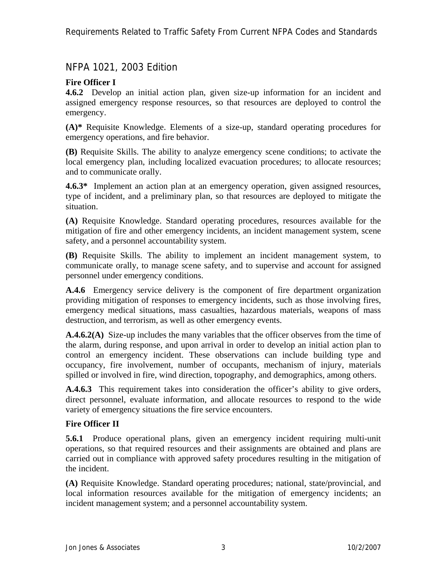# NFPA 1021, 2003 Edition

## **Fire Officer I**

**4.6.2** Develop an initial action plan, given size-up information for an incident and assigned emergency response resources, so that resources are deployed to control the emergency.

**(A)\*** Requisite Knowledge. Elements of a size-up, standard operating procedures for emergency operations, and fire behavior.

**(B)** Requisite Skills. The ability to analyze emergency scene conditions; to activate the local emergency plan, including localized evacuation procedures; to allocate resources; and to communicate orally.

**4.6.3\*** Implement an action plan at an emergency operation, given assigned resources, type of incident, and a preliminary plan, so that resources are deployed to mitigate the situation.

**(A)** Requisite Knowledge. Standard operating procedures, resources available for the mitigation of fire and other emergency incidents, an incident management system, scene safety, and a personnel accountability system.

**(B)** Requisite Skills. The ability to implement an incident management system, to communicate orally, to manage scene safety, and to supervise and account for assigned personnel under emergency conditions.

**A.4.6** Emergency service delivery is the component of fire department organization providing mitigation of responses to emergency incidents, such as those involving fires, emergency medical situations, mass casualties, hazardous materials, weapons of mass destruction, and terrorism, as well as other emergency events.

**A.4.6.2(A)** Size-up includes the many variables that the officer observes from the time of the alarm, during response, and upon arrival in order to develop an initial action plan to control an emergency incident. These observations can include building type and occupancy, fire involvement, number of occupants, mechanism of injury, materials spilled or involved in fire, wind direction, topography, and demographics, among others.

**A.4.6.3** This requirement takes into consideration the officer's ability to give orders, direct personnel, evaluate information, and allocate resources to respond to the wide variety of emergency situations the fire service encounters.

### **Fire Officer II**

**5.6.1** Produce operational plans, given an emergency incident requiring multi-unit operations, so that required resources and their assignments are obtained and plans are carried out in compliance with approved safety procedures resulting in the mitigation of the incident.

**(A)** Requisite Knowledge. Standard operating procedures; national, state/provincial, and local information resources available for the mitigation of emergency incidents; an incident management system; and a personnel accountability system.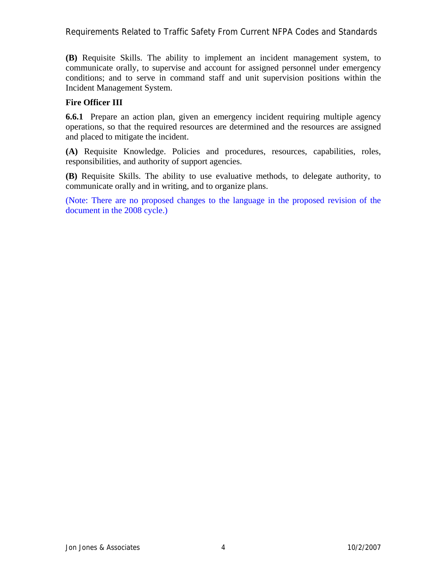Requirements Related to Traffic Safety From Current NFPA Codes and Standards

**(B)** Requisite Skills. The ability to implement an incident management system, to communicate orally, to supervise and account for assigned personnel under emergency conditions; and to serve in command staff and unit supervision positions within the Incident Management System.

### **Fire Officer III**

**6.6.1** Prepare an action plan, given an emergency incident requiring multiple agency operations, so that the required resources are determined and the resources are assigned and placed to mitigate the incident.

**(A)** Requisite Knowledge. Policies and procedures, resources, capabilities, roles, responsibilities, and authority of support agencies.

**(B)** Requisite Skills. The ability to use evaluative methods, to delegate authority, to communicate orally and in writing, and to organize plans.

(Note: There are no proposed changes to the language in the proposed revision of the document in the 2008 cycle.)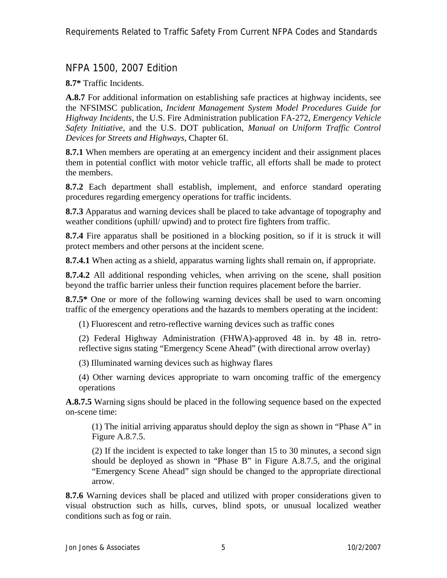# NFPA 1500, 2007 Edition

**8.7\*** Traffic Incidents.

**A.8.7** For additional information on establishing safe practices at highway incidents, see the NFSIMSC publication, *Incident Management System Model Procedures Guide for Highway Incidents*, the U.S. Fire Administration publication FA-272, *Emergency Vehicle Safety Initiative*, and the U.S. DOT publication, *Manual on Uniform Traffic Control Devices for Streets and Highways*, Chapter 6I.

**8.7.1** When members are operating at an emergency incident and their assignment places them in potential conflict with motor vehicle traffic, all efforts shall be made to protect the members.

**8.7.2** Each department shall establish, implement, and enforce standard operating procedures regarding emergency operations for traffic incidents.

**8.7.3** Apparatus and warning devices shall be placed to take advantage of topography and weather conditions (uphill/ upwind) and to protect fire fighters from traffic.

**8.7.4** Fire apparatus shall be positioned in a blocking position, so if it is struck it will protect members and other persons at the incident scene.

**8.7.4.1** When acting as a shield, apparatus warning lights shall remain on, if appropriate.

**8.7.4.2** All additional responding vehicles, when arriving on the scene, shall position beyond the traffic barrier unless their function requires placement before the barrier.

**8.7.5\*** One or more of the following warning devices shall be used to warn oncoming traffic of the emergency operations and the hazards to members operating at the incident:

(1) Fluorescent and retro-reflective warning devices such as traffic cones

(2) Federal Highway Administration (FHWA)-approved 48 in. by 48 in. retroreflective signs stating "Emergency Scene Ahead" (with directional arrow overlay)

(3) Illuminated warning devices such as highway flares

(4) Other warning devices appropriate to warn oncoming traffic of the emergency operations

**A.8.7.5** Warning signs should be placed in the following sequence based on the expected on-scene time:

(1) The initial arriving apparatus should deploy the sign as shown in "Phase A" in Figure A.8.7.5.

(2) If the incident is expected to take longer than 15 to 30 minutes, a second sign should be deployed as shown in "Phase B" in Figure A.8.7.5, and the original "Emergency Scene Ahead" sign should be changed to the appropriate directional arrow.

**8.7.6** Warning devices shall be placed and utilized with proper considerations given to visual obstruction such as hills, curves, blind spots, or unusual localized weather conditions such as fog or rain.